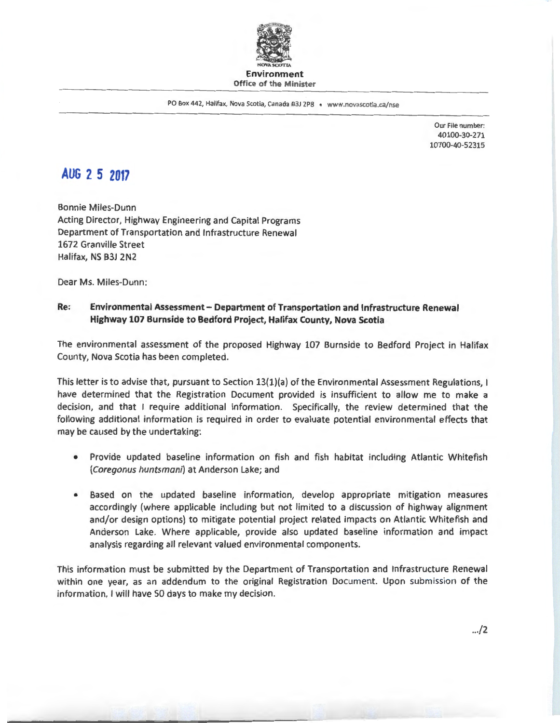

PO Box 442, Halifax, Nova Scotia, Canada B3J 2P8 • www.novascotia.ca/nse

Our File number: 40100-30-271 10700-40-52315

## **AUG 2 5 2017**

Bonnie Miles-Dunn Acting Director, Highway Engineering and Capital Programs Department of Transportation and Infrastructure Renewal 1672 Granville Street Halifax, NS B3J 2N2

Dear Ms. Miles-Dunn:

## **Re: Environmental Assessment - Department of Transportation and Infrastructure Renewal Highway 107 Burnside to Bedford Project, Halifax County, Nova Scotia**

The environmental assessment of the proposed Highway 107 Burnside to Bedford Project in Halifax County, Nova Scotia has been completed.

This letter is to advise that, pursuant to Section 13(1)(a) of the Environmental Assessment Regulations, I have determined that the Registration Document provided is insufficient to allow me to make a decision, and that I require additional information. Specifically, the review determined that the following additional information is required in order to evaluate potential environmental effects that may be caused by the undertaking:

- Provide updated baseline information on fish and fish habitat including Atlantic Whitefish (Coregonus huntsmani) at Anderson Lake; and
- Based on the updated baseline information, develop appropriate mitigation measures accordingly (where applicable including but not limited to a discussion of highway alignment and/or design options) to mitigate potential project related impacts on Atlantic Whitefish and Anderson Lake. Where applicable, provide also updated baseline information and impact analysis regarding all relevant valued environmental components.

This information must be submitted by the Department of Transportation and Infrastructure Renewal within one year, as an addendum to the original Registration Document. Upon submission of the information, I will have 50 days to make my decision.